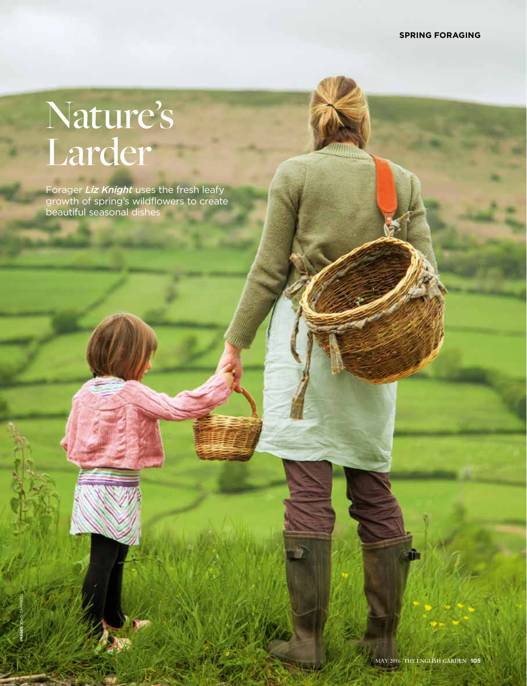# Nature's Larder

**IMAGES** JOHN CAMPBELL

Forager *Liz Knight* uses the fresh leafy growth of spring's wildflowers to create beautiful seasonal dishes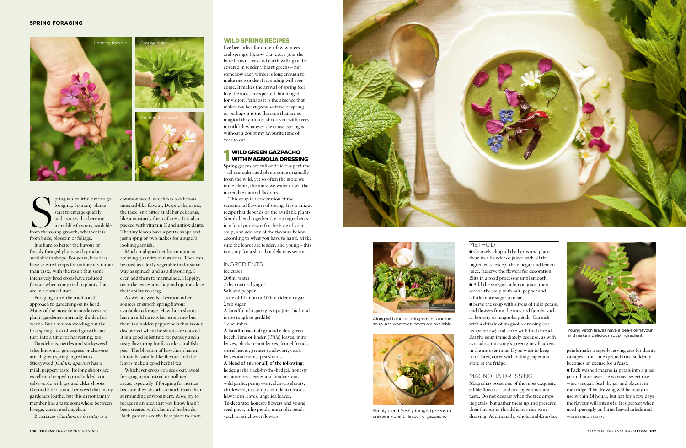

Simply blend freshly foraged greens to create a vibrant, flavourful gazpacho.



Along with the base ingredients for the soup, use whatever leaves are available.

pring is a fruitful time to<br>foraging. So many plants<br>start to emerge quickly<br>and as a result, there are<br>incredible flavours availal<br>from the young growth, whether it is pring is a fruitful time to go foraging. So many plants start to emerge quickly and as a result, there are incredible flavours available from buds, blossom or foliage.

It is hard to better the flavour of freshly foraged plants with produce available in shops. For years, breeders have selected crops for uniformity rather than taste, with the result that some intensively bred crops have reduced flavour when compared to plants that are in a natural state.

Foraging turns the traditional approach to gardening on its head. Many of the most delicious leaves are plants gardeners normally think of as weeds. But a session weeding out the first spring flush of weed growth can turn into a time for harvesting, too.

Dandelions, nettles and stickyweed (also known as goosegrass or cleavers) are all great spring ingredients. Stickyweed (*Galium aparine*) has a mild, peppery taste. Its long shoots are excellent chopped up and added to a salsa verde with ground elder shoots. Ground elder is another weed that many gardeners loathe, but this carrot family member has a taste somewhere between lovage, carrot and angelica.

Bittercress (*Cardamine hirsuta*) is a

common weed, which has a delicious mustard-like flavour. Despite the name, the taste isn't bitter at all but delicious, like a mustardy form of cress. It is also packed with vitamin C and antioxidants. The tiny leaves have a pretty shape and just a sprig or two makes for a superb looking garnish.

Much-maligned nettles contain an amazing quantity of nutrients. They can be used as a leafy vegetable in the same way as spinach and as a flavouring. I even add them to marmalade. Happily, once the leaves are chopped up, they lose their ability to sting.

As well as weeds, there are other sources of superb spring flavour available to forage. Hawthorn shoots have a mild taste when eaten raw but there is a hidden pepperiness that is only discovered when the shoots are cooked. It is a good substitute for parsley and a tasty flavouring for fish cakes and fish pies. The blossom of hawthorn has an almondy, vanilla-like flavour and the leaves make a good herbal tea.

 $\bullet$  Coarsely chop all the herbs and place them in a blender or juicer with all the ingredients, except the vinegar and lemon juice. Reserve the flowers for decoration. Blitz in a food processor until smooth.  $\bullet$  Add the vinegar or lemon juice, then season the soup with salt, pepper and a little more sugar to taste.

Whichever crops you seek out, avoid foraging in industrial or polluted areas, especially if foraging for nettles because they absorb so much from their surrounding environment. Also, try to forage in an area that you know hasn't been treated with chemical herbicides. Back gardens are the best place to start.

 $\bullet$  Serve the soup with slivers of tulip petals, and flowers from the mustard family, such as honesty or magnolia petals. Garnish with a drizzle of magnolia dressing (see recipe below) and serve with fresh bread. Eat the soup immediately because, as with avocados, this soup's green glory blackens in the air over time. If you wish to keep it for later, cover with baking paper and store in the fridge.

#### WILD SPRING RECIPES

I've been alive for quite a few winters and springs. I know that every year the bare brown trees and earth will again be covered in tender vibrant greens – but somehow each winter is long enough to make me wonder if its ending will ever come. It makes the arrival of spring feel like the most unexpected, but longed for visitor. Perhaps it is the absence that makes my heart grow so fond of spring, or perhaps it is the flavours that are so magical they almost shock you with every mouthful; whatever the cause, spring is without a doubt my favourite time of year to eat.

### **1 WILD GREEN GAZPACHO**<br>WITH MAGNOLIA DRESSING

Spring greens are full of delicious perfume – all our cultivated plants come originally from the wild, yet so often the more we tame plants, the more we water down the incredible natural flavours.

This soup is a celebration of the sensational flavours of spring. It is a unique recipe that depends on the available plants. Simply blend together the top ingredients in a food processor for the base of your soup, and add any of the flavours below according to what you have to hand. Make sure the leaves are tender, and young – this is a soup for a short but delicious season.

#### INGREDIENTS

Ice cubes 200ml water 2 tbsp natural yogurt Salt and pepper Juice of 1 lemon or 100ml cider vinegar 2 tsp sugar

A handful of asparagus tips (the thick end is too tough to griddle) 1 cucumber

**A handful each of:** ground elder, green beech, lime or linden (*Tilia*) leaves, mint leaves, blackcurrant leaves, fennel fronds, sorrel leaves, greater stitchwort, vetch leaves and stems, pea shoots. **A blend of any (or all) of the following:** hedge garlic (jack-by-the-hedge), honesty or bittercress leaves and tender stems, wild garlic, pennywort, cleavers shoots, chickweed, nettle tips, dandelion leaves, hawthorn leaves, angelica leaves. **To decorate:** honesty flowers and young seed pods, tulip petals, magnolia petals, vetch or stitchwort flowers.



#### METHOD

#### MAGNOLIA DRESSING

Magnolias boast one of the most exquisite edible flowers – both in appearance and taste. Do not despair when the tree drops its petals, but gather them up and preserve their flavour in this delicious rice wine dressing. Additionally, whole, unblemished

petals make a superb serving cup for dainty canapes – that unexpected frost suddenly becomes an excuse for a feast.

l Pack washed magnolia petals into a glass jar and pour over the warmed sweet rice wine vinegar. Seal the jar and place it in the fridge. The dressing will be ready to use within 24 hours, but left for a few days the flavour will intensify. It is perfect when used sparingly on bitter leaved salads and warm onion tarts.



Young vetch leaves have a pea-like flavour and make a delicious soup ingredient.



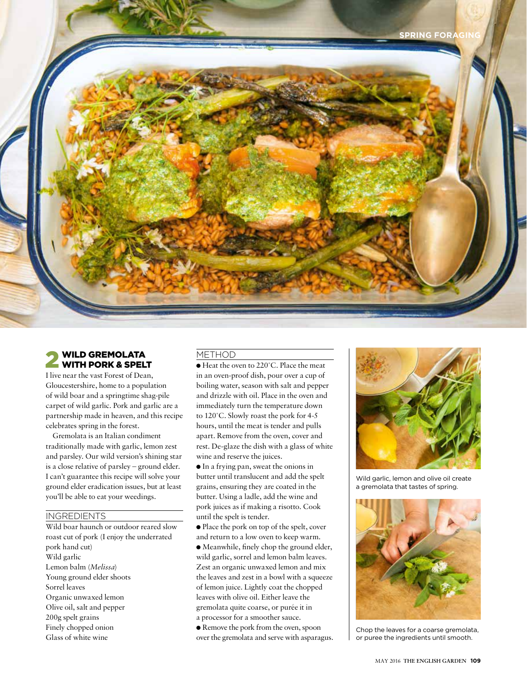

## **2 WILD GREMOLATA**<br>WITH PORK & SPELT

I live near the vast Forest of Dean, Gloucestershire, home to a population of wild boar and a springtime shag-pile carpet of wild garlic. Pork and garlic are a partnership made in heaven, and this recipe celebrates spring in the forest.

Gremolata is an Italian condiment traditionally made with garlic, lemon zest and parsley. Our wild version's shining star is a close relative of parsley – ground elder. I can't guarantee this recipe will solve your ground elder eradication issues, but at least you'll be able to eat your weedings.

#### **INGREDIENTS**

Wild boar haunch or outdoor reared slow roast cut of pork (I enjoy the underrated pork hand cut) Wild garlic Lemon balm (*Melissa*) Young ground elder shoots Sorrel leaves Organic unwaxed lemon Olive oil, salt and pepper 200g spelt grains Finely chopped onion Glass of white wine

#### METHOD

● Heat the oven to 220°C. Place the meat in an oven-proof dish, pour over a cup of boiling water, season with salt and pepper and drizzle with oil. Place in the oven and immediately turn the temperature down to 120˚C. Slowly roast the pork for 4-5 hours, until the meat is tender and pulls apart. Remove from the oven, cover and rest. De-glaze the dish with a glass of white wine and reserve the juices.

 $\bullet$  In a frying pan, sweat the onions in butter until translucent and add the spelt grains, ensuring they are coated in the butter. Using a ladle, add the wine and pork juices as if making a risotto. Cook until the spelt is tender.

l Place the pork on top of the spelt, cover and return to a low oven to keep warm.

 $\bullet$  Meanwhile, finely chop the ground elder, wild garlic, sorrel and lemon balm leaves. Zest an organic unwaxed lemon and mix the leaves and zest in a bowl with a squeeze of lemon juice. Lightly coat the chopped leaves with olive oil. Either leave the gremolata quite coarse, or purée it in a processor for a smoother sauce.

 $\bullet$  Remove the pork from the oven, spoon over the gremolata and serve with asparagus.



Wild garlic, lemon and olive oil create a gremolata that tastes of spring.



Chop the leaves for a coarse gremolata, or puree the ingredients until smooth.